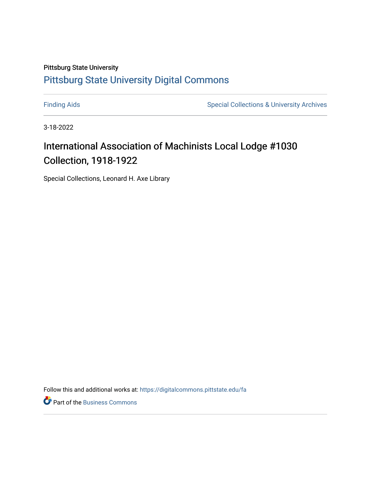## Pittsburg State University [Pittsburg State University Digital Commons](https://digitalcommons.pittstate.edu/)

[Finding Aids](https://digitalcommons.pittstate.edu/fa) **Special Collections & University Archives** Special Collections & University Archives

3-18-2022

# International Association of Machinists Local Lodge #1030 Collection, 1918-1922

Special Collections, Leonard H. Axe Library

Follow this and additional works at: [https://digitalcommons.pittstate.edu/fa](https://digitalcommons.pittstate.edu/fa?utm_source=digitalcommons.pittstate.edu%2Ffa%2F393&utm_medium=PDF&utm_campaign=PDFCoverPages) 

**P** Part of the [Business Commons](http://network.bepress.com/hgg/discipline/622?utm_source=digitalcommons.pittstate.edu%2Ffa%2F393&utm_medium=PDF&utm_campaign=PDFCoverPages)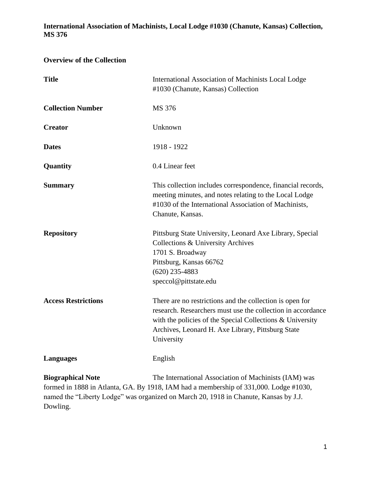**International Association of Machinists, Local Lodge #1030 (Chanute, Kansas) Collection, MS 376**

## **Overview of the Collection**

| <b>Title</b>                                                                                                                                                                                                                                                       | <b>International Association of Machinists Local Lodge</b><br>#1030 (Chanute, Kansas) Collection                                                                                                                                                        |
|--------------------------------------------------------------------------------------------------------------------------------------------------------------------------------------------------------------------------------------------------------------------|---------------------------------------------------------------------------------------------------------------------------------------------------------------------------------------------------------------------------------------------------------|
| <b>Collection Number</b>                                                                                                                                                                                                                                           | MS 376                                                                                                                                                                                                                                                  |
| <b>Creator</b>                                                                                                                                                                                                                                                     | Unknown                                                                                                                                                                                                                                                 |
| <b>Dates</b>                                                                                                                                                                                                                                                       | 1918 - 1922                                                                                                                                                                                                                                             |
| <b>Quantity</b>                                                                                                                                                                                                                                                    | 0.4 Linear feet                                                                                                                                                                                                                                         |
| <b>Summary</b>                                                                                                                                                                                                                                                     | This collection includes correspondence, financial records,<br>meeting minutes, and notes relating to the Local Lodge<br>#1030 of the International Association of Machinists,<br>Chanute, Kansas.                                                      |
| <b>Repository</b>                                                                                                                                                                                                                                                  | Pittsburg State University, Leonard Axe Library, Special<br>Collections & University Archives<br>1701 S. Broadway<br>Pittsburg, Kansas 66762<br>$(620)$ 235-4883<br>speccol@pittstate.edu                                                               |
| <b>Access Restrictions</b>                                                                                                                                                                                                                                         | There are no restrictions and the collection is open for<br>research. Researchers must use the collection in accordance<br>with the policies of the Special Collections & University<br>Archives, Leonard H. Axe Library, Pittsburg State<br>University |
| <b>Languages</b>                                                                                                                                                                                                                                                   | English                                                                                                                                                                                                                                                 |
| <b>Biographical Note</b><br>The International Association of Machinists (IAM) was<br>formed in 1888 in Atlanta, GA. By 1918, IAM had a membership of 331,000. Lodge #1030,<br>named the "Liberty Lodge" was organized on March 20, 1918 in Chanute, Kansas by J.J. |                                                                                                                                                                                                                                                         |

Dowling.